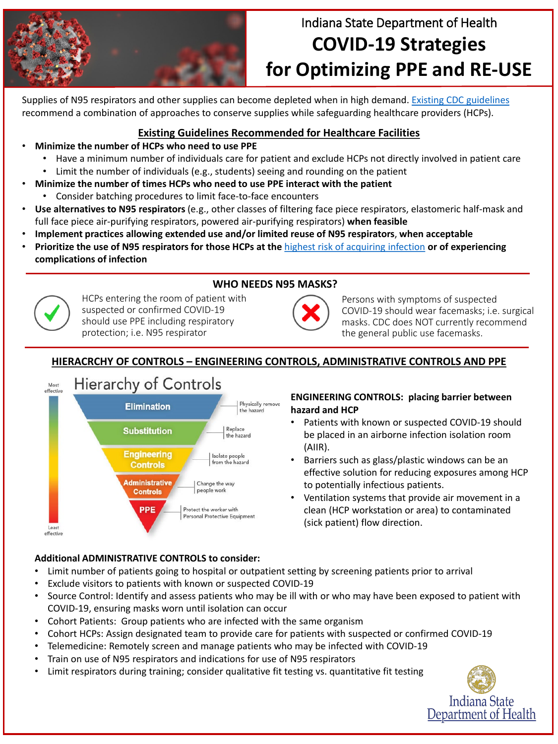

# Indiana State Department of Health **COVID-19 Strategies for Optimizing PPE and RE-USE**

#### **WHO NEEDS N95 MASKS?**



Supplies of N95 respirators and other supplies can become depleted when in high demand. [Existing CDC guidelines](https://www.cdc.gov/niosh/topics/hcwcontrols/recommendedguidanceextuse.html) recommend a combination of approaches to conserve supplies while safeguarding healthcare providers (HCPs).

#### **Existing Guidelines Recommended for Healthcare Facilities**

- **Minimize the number of HCPs who need to use PPE**
	- Have a minimum number of individuals care for patient and exclude HCPs not directly involved in patient care
	- Limit the number of individuals (e.g., students) seeing and rounding on the patient
- **Minimize the number of times HCPs who need to use PPE interact with the patient**
	- Consider batching procedures to limit face-to-face encounters
- **Use alternatives to N95 respirators** (e.g., other classes of filtering face piece respirators, elastomeric half-mask and full face piece air-purifying respirators, powered air-purifying respirators) **when feasible**
- **Implement practices allowing extended use and/or limited reuse of N95 respirators**, **when acceptable**
- **Prioritize the use of N95 respirators for those HCPs at the** [highest risk of acquiring infection](https://www.cdc.gov/coronavirus/2019-nCoV/hcp/infection-control.html) **or of experiencing complications of infection**

- Patients with known or suspected COVID-19 should be placed in an airborne infection isolation room (AIIR).
- Barriers such as glass/plastic windows can be an effective solution for reducing exposures among HCP to potentially infectious patients.
- Ventilation systems that provide air movement in a clean (HCP workstation or area) to contaminated (sick patient) flow direction.





Persons with symptoms of suspected COVID-19 should wear facemasks; i.e. surgical masks. CDC does NOT currently recommend the general public use facemasks.

HCPs entering the room of patient with suspected or confirmed COVID-19 should use PPE including respiratory protection; i.e. N95 respirator

### **HIERACRCHY OF CONTROLS – ENGINEERING CONTROLS, ADMINISTRATIVE CONTROLS AND PPE**



#### **ENGINEERING CONTROLS: placing barrier between hazard and HCP**

#### **Additional ADMINISTRATIVE CONTROLS to consider:**

- Limit number of patients going to hospital or outpatient setting by screening patients prior to arrival
- Exclude visitors to patients with known or suspected COVID-19
- Source Control: Identify and assess patients who may be ill with or who may have been exposed to patient with COVID-19, ensuring masks worn until isolation can occur
- Cohort Patients: Group patients who are infected with the same organism
- Cohort HCPs: Assign designated team to provide care for patients with suspected or confirmed COVID-19
- Telemedicine: Remotely screen and manage patients who may be infected with COVID-19
- Train on use of N95 respirators and indications for use of N95 respirators
- Limit respirators during training; consider qualitative fit testing vs. quantitative fit testing

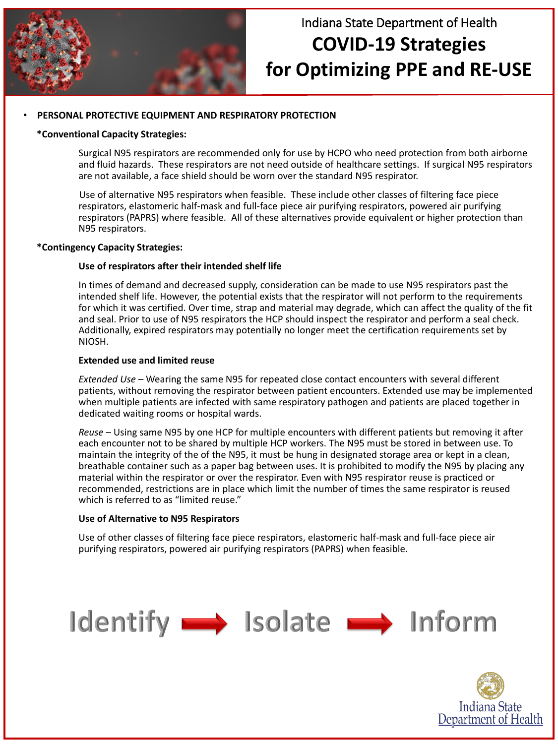#### • **PERSONAL PROTECTIVE EQUIPMENT AND RESPIRATORY PROTECTION**

#### **\*Conventional Capacity Strategies:**

Surgical N95 respirators are recommended only for use by HCPO who need protection from both airborne and fluid hazards. These respirators are not need outside of healthcare settings. If surgical N95 respirators are not available, a face shield should be worn over the standard N95 respirator.

Use of alternative N95 respirators when feasible. These include other classes of filtering face piece respirators, elastomeric half-mask and full-face piece air purifying respirators, powered air purifying respirators (PAPRS) where feasible. All of these alternatives provide equivalent or higher protection than N95 respirators.

#### **\*Contingency Capacity Strategies:**

#### **Use of respirators after their intended shelf life**

*Reuse* – Using same N95 by one HCP for multiple encounters with different patients but removing it after each encounter not to be shared by multiple HCP workers. The N95 must be stored in between use. To maintain the integrity of the of the N95, it must be hung in designated storage area or kept in a clean, breathable container such as a paper bag between uses. It is prohibited to modify the N95 by placing any material within the respirator or over the respirator. Even with N95 respirator reuse is practiced or recommended, restrictions are in place which limit the number of times the same respirator is reused which is referred to as "limited reuse."

In times of demand and decreased supply, consideration can be made to use N95 respirators past the intended shelf life. However, the potential exists that the respirator will not perform to the requirements for which it was certified. Over time, strap and material may degrade, which can affect the quality of the fit and seal. Prior to use of N95 respirators the HCP should inspect the respirator and perform a seal check. Additionally, expired respirators may potentially no longer meet the certification requirements set by NIOSH.

#### **Extended use and limited reuse**

*Extended Use* – Wearing the same N95 for repeated close contact encounters with several different patients, without removing the respirator between patient encounters. Extended use may be implemented when multiple patients are infected with same respiratory pathogen and patients are placed together in dedicated waiting rooms or hospital wards.

#### **Use of Alternative to N95 Respirators**

Use of other classes of filtering face piece respirators, elastomeric half-mask and full-face piece air purifying respirators, powered air purifying respirators (PAPRS) when feasible.

# Identify Solate 1nform





## Indiana State Department of Health **COVID-19 Strategies for Optimizing PPE and RE-USE**